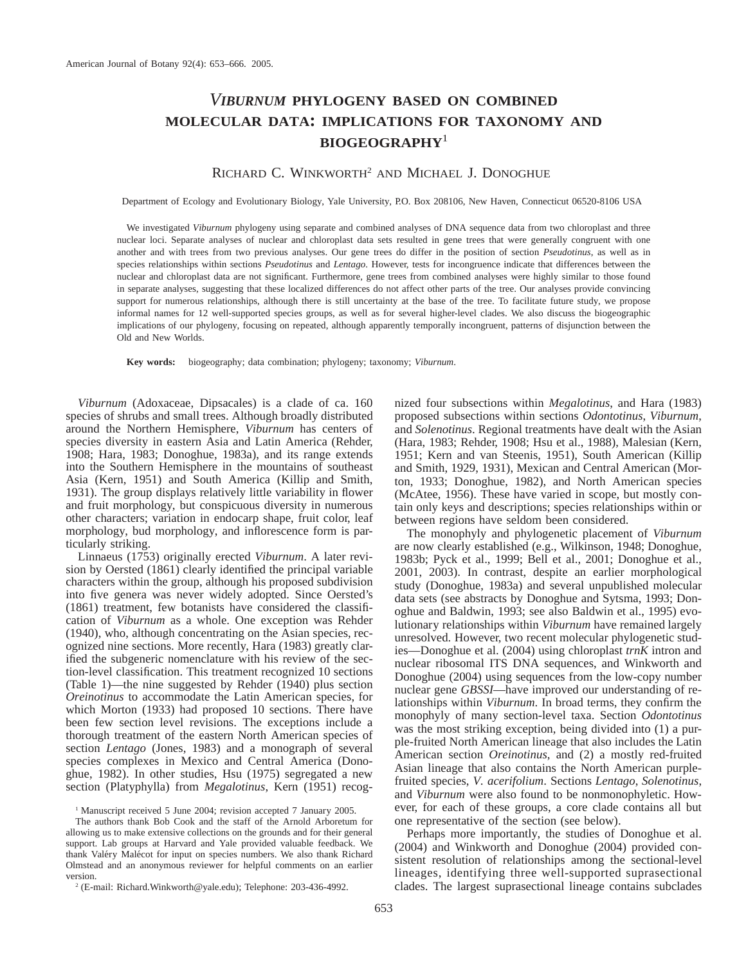# *VIBURNUM* **PHYLOGENY BASED ON COMBINED MOLECULAR DATA: IMPLICATIONS FOR TAXONOMY AND BIOGEOGRAPHY**<sup>1</sup>

## RICHARD C. WINKWORTH2 AND MICHAEL J. DONOGHUE

Department of Ecology and Evolutionary Biology, Yale University, P.O. Box 208106, New Haven, Connecticut 06520-8106 USA

We investigated Viburnum phylogeny using separate and combined analyses of DNA sequence data from two chloroplast and three nuclear loci. Separate analyses of nuclear and chloroplast data sets resulted in gene trees that were generally congruent with one another and with trees from two previous analyses. Our gene trees do differ in the position of section *Pseudotinus*, as well as in species relationships within sections *Pseudotinus* and *Lentago*. However, tests for incongruence indicate that differences between the nuclear and chloroplast data are not significant. Furthermore, gene trees from combined analyses were highly similar to those found in separate analyses, suggesting that these localized differences do not affect other parts of the tree. Our analyses provide convincing support for numerous relationships, although there is still uncertainty at the base of the tree. To facilitate future study, we propose informal names for 12 well-supported species groups, as well as for several higher-level clades. We also discuss the biogeographic implications of our phylogeny, focusing on repeated, although apparently temporally incongruent, patterns of disjunction between the Old and New Worlds.

**Key words:** biogeography; data combination; phylogeny; taxonomy; *Viburnum*.

*Viburnum* (Adoxaceae, Dipsacales) is a clade of ca. 160 species of shrubs and small trees. Although broadly distributed around the Northern Hemisphere, *Viburnum* has centers of species diversity in eastern Asia and Latin America (Rehder, 1908; Hara, 1983; Donoghue, 1983a), and its range extends into the Southern Hemisphere in the mountains of southeast Asia (Kern, 1951) and South America (Killip and Smith, 1931). The group displays relatively little variability in flower and fruit morphology, but conspicuous diversity in numerous other characters; variation in endocarp shape, fruit color, leaf morphology, bud morphology, and inflorescence form is particularly striking.

Linnaeus (1753) originally erected *Viburnum*. A later revision by Oersted (1861) clearly identified the principal variable characters within the group, although his proposed subdivision into five genera was never widely adopted. Since Oersted's (1861) treatment, few botanists have considered the classification of *Viburnum* as a whole. One exception was Rehder (1940), who, although concentrating on the Asian species, recognized nine sections. More recently, Hara (1983) greatly clarified the subgeneric nomenclature with his review of the section-level classification. This treatment recognized 10 sections (Table 1)—the nine suggested by Rehder (1940) plus section *Oreinotinus* to accommodate the Latin American species, for which Morton (1933) had proposed 10 sections. There have been few section level revisions. The exceptions include a thorough treatment of the eastern North American species of section *Lentago* (Jones, 1983) and a monograph of several species complexes in Mexico and Central America (Donoghue, 1982). In other studies, Hsu (1975) segregated a new section (Platyphylla) from *Megalotinus*, Kern (1951) recog-

<sup>2</sup> (E-mail: Richard.Winkworth@yale.edu); Telephone: 203-436-4992.

nized four subsections within *Megalotinus*, and Hara (1983) proposed subsections within sections *Odontotinus*, *Viburnum*, and *Solenotinus*. Regional treatments have dealt with the Asian (Hara, 1983; Rehder, 1908; Hsu et al., 1988), Malesian (Kern, 1951; Kern and van Steenis, 1951), South American (Killip and Smith, 1929, 1931), Mexican and Central American (Morton, 1933; Donoghue, 1982), and North American species (McAtee, 1956). These have varied in scope, but mostly contain only keys and descriptions; species relationships within or between regions have seldom been considered.

The monophyly and phylogenetic placement of *Viburnum* are now clearly established (e.g., Wilkinson, 1948; Donoghue, 1983b; Pyck et al., 1999; Bell et al., 2001; Donoghue et al., 2001, 2003). In contrast, despite an earlier morphological study (Donoghue, 1983a) and several unpublished molecular data sets (see abstracts by Donoghue and Sytsma, 1993; Donoghue and Baldwin, 1993; see also Baldwin et al., 1995) evolutionary relationships within *Viburnum* have remained largely unresolved. However, two recent molecular phylogenetic studies—Donoghue et al. (2004) using chloroplast *trnK* intron and nuclear ribosomal ITS DNA sequences, and Winkworth and Donoghue (2004) using sequences from the low-copy number nuclear gene *GBSSI*—have improved our understanding of relationships within *Viburnum*. In broad terms, they confirm the monophyly of many section-level taxa. Section *Odontotinus* was the most striking exception, being divided into (1) a purple-fruited North American lineage that also includes the Latin American section *Oreinotinus*, and (2) a mostly red-fruited Asian lineage that also contains the North American purplefruited species, *V. acerifolium*. Sections *Lentago*, *Solenotinus*, and *Viburnum* were also found to be nonmonophyletic. However, for each of these groups, a core clade contains all but one representative of the section (see below).

Perhaps more importantly, the studies of Donoghue et al. (2004) and Winkworth and Donoghue (2004) provided consistent resolution of relationships among the sectional-level lineages, identifying three well-supported suprasectional clades. The largest suprasectional lineage contains subclades

<sup>&</sup>lt;sup>1</sup> Manuscript received 5 June 2004; revision accepted 7 January 2005.

The authors thank Bob Cook and the staff of the Arnold Arboretum for allowing us to make extensive collections on the grounds and for their general support. Lab groups at Harvard and Yale provided valuable feedback. We thank Valéry Malécot for input on species numbers. We also thank Richard Olmstead and an anonymous reviewer for helpful comments on an earlier version.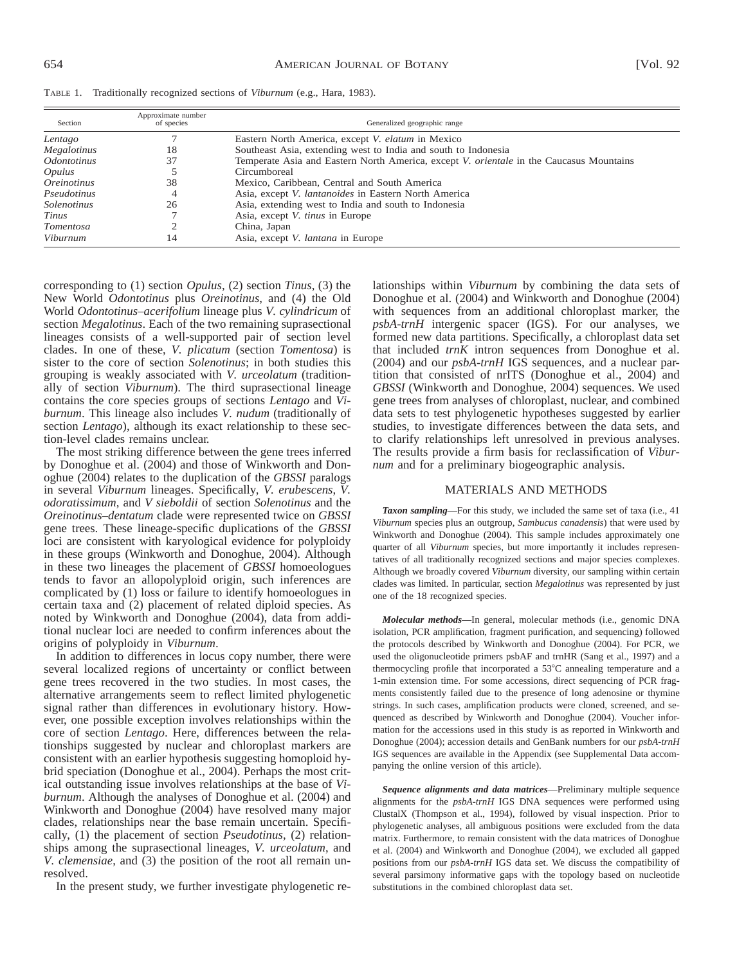TABLE 1. Traditionally recognized sections of *Viburnum* (e.g., Hara, 1983).

| Section                   | Approximate number<br>of species | Generalized geographic range                                                                   |
|---------------------------|----------------------------------|------------------------------------------------------------------------------------------------|
| Lentago                   |                                  | Eastern North America, except V. elatum in Mexico                                              |
| <b>Megalotinus</b>        | 18                               | Southeast Asia, extending west to India and south to Indonesia                                 |
| <i>Odontotinus</i>        | 37                               | Temperate Asia and Eastern North America, except <i>V. orientale</i> in the Caucasus Mountains |
| Opulus                    |                                  | Circumboreal                                                                                   |
| <i><b>Oreinotinus</b></i> | 38                               | Mexico, Caribbean, Central and South America                                                   |
| Pseudotinus               | 4                                | Asia, except V. lantanoides in Eastern North America                                           |
| <i>Solenotinus</i>        | 26                               | Asia, extending west to India and south to Indonesia                                           |
| <b>Tinus</b>              |                                  | Asia, except <i>V. tinus</i> in Europe                                                         |
| <b>Tomentosa</b>          |                                  | China, Japan                                                                                   |
| Viburnum                  | 14                               | Asia, except <i>V. lantana</i> in Europe                                                       |

corresponding to (1) section *Opulus*, (2) section *Tinus*, (3) the New World *Odontotinus* plus *Oreinotinus*, and (4) the Old World *Odontotinus*–*acerifolium* lineage plus *V. cylindricum* of section *Megalotinus*. Each of the two remaining suprasectional lineages consists of a well-supported pair of section level clades. In one of these, *V. plicatum* (section *Tomentosa*) is sister to the core of section *Solenotinus*; in both studies this grouping is weakly associated with *V. urceolatum* (traditionally of section *Viburnum*). The third suprasectional lineage contains the core species groups of sections *Lentago* and *Viburnum*. This lineage also includes *V. nudum* (traditionally of section *Lentago*), although its exact relationship to these section-level clades remains unclear.

The most striking difference between the gene trees inferred by Donoghue et al. (2004) and those of Winkworth and Donoghue (2004) relates to the duplication of the *GBSSI* paralogs in several *Viburnum* lineages. Specifically, *V. erubescens*, *V. odoratissimum*, and *V sieboldii* of section *Solenotinus* and the *Oreinotinus*–*dentatum* clade were represented twice on *GBSSI* gene trees. These lineage-specific duplications of the *GBSSI* loci are consistent with karyological evidence for polyploidy in these groups (Winkworth and Donoghue, 2004). Although in these two lineages the placement of *GBSSI* homoeologues tends to favor an allopolyploid origin, such inferences are complicated by (1) loss or failure to identify homoeologues in certain taxa and (2) placement of related diploid species. As noted by Winkworth and Donoghue (2004), data from additional nuclear loci are needed to confirm inferences about the origins of polyploidy in *Viburnum*.

In addition to differences in locus copy number, there were several localized regions of uncertainty or conflict between gene trees recovered in the two studies. In most cases, the alternative arrangements seem to reflect limited phylogenetic signal rather than differences in evolutionary history. However, one possible exception involves relationships within the core of section *Lentago*. Here, differences between the relationships suggested by nuclear and chloroplast markers are consistent with an earlier hypothesis suggesting homoploid hybrid speciation (Donoghue et al., 2004). Perhaps the most critical outstanding issue involves relationships at the base of *Viburnum*. Although the analyses of Donoghue et al. (2004) and Winkworth and Donoghue (2004) have resolved many major clades, relationships near the base remain uncertain. Specifically, (1) the placement of section *Pseudotinus*, (2) relationships among the suprasectional lineages, *V. urceolatum*, and *V. clemensiae*, and (3) the position of the root all remain unresolved.

In the present study, we further investigate phylogenetic re-

lationships within *Viburnum* by combining the data sets of Donoghue et al. (2004) and Winkworth and Donoghue (2004) with sequences from an additional chloroplast marker, the *psbA-trnH* intergenic spacer (IGS). For our analyses, we formed new data partitions. Specifically, a chloroplast data set that included *trnK* intron sequences from Donoghue et al. (2004) and our *psbA-trnH* IGS sequences, and a nuclear partition that consisted of nrITS (Donoghue et al., 2004) and *GBSSI* (Winkworth and Donoghue, 2004) sequences. We used gene trees from analyses of chloroplast, nuclear, and combined data sets to test phylogenetic hypotheses suggested by earlier studies, to investigate differences between the data sets, and to clarify relationships left unresolved in previous analyses. The results provide a firm basis for reclassification of *Viburnum* and for a preliminary biogeographic analysis.

### MATERIALS AND METHODS

*Taxon sampling*—For this study, we included the same set of taxa (i.e., 41 *Viburnum* species plus an outgroup, *Sambucus canadensis*) that were used by Winkworth and Donoghue (2004). This sample includes approximately one quarter of all *Viburnum* species, but more importantly it includes representatives of all traditionally recognized sections and major species complexes. Although we broadly covered *Viburnum* diversity, our sampling within certain clades was limited. In particular, section *Megalotinus* was represented by just one of the 18 recognized species.

*Molecular methods*—In general, molecular methods (i.e., genomic DNA isolation, PCR amplification, fragment purification, and sequencing) followed the protocols described by Winkworth and Donoghue (2004). For PCR, we used the oligonucleotide primers psbAF and trnHR (Sang et al., 1997) and a thermocycling profile that incorporated a 53°C annealing temperature and a 1-min extension time. For some accessions, direct sequencing of PCR fragments consistently failed due to the presence of long adenosine or thymine strings. In such cases, amplification products were cloned, screened, and sequenced as described by Winkworth and Donoghue (2004). Voucher information for the accessions used in this study is as reported in Winkworth and Donoghue (2004); accession details and GenBank numbers for our *psbA-trnH* IGS sequences are available in the Appendix (see Supplemental Data accompanying the online version of this article).

*Sequence alignments and data matrices*—Preliminary multiple sequence alignments for the *psbA-trnH* IGS DNA sequences were performed using ClustalX (Thompson et al., 1994), followed by visual inspection. Prior to phylogenetic analyses, all ambiguous positions were excluded from the data matrix. Furthermore, to remain consistent with the data matrices of Donoghue et al. (2004) and Winkworth and Donoghue (2004), we excluded all gapped positions from our *psbA-trnH* IGS data set. We discuss the compatibility of several parsimony informative gaps with the topology based on nucleotide substitutions in the combined chloroplast data set.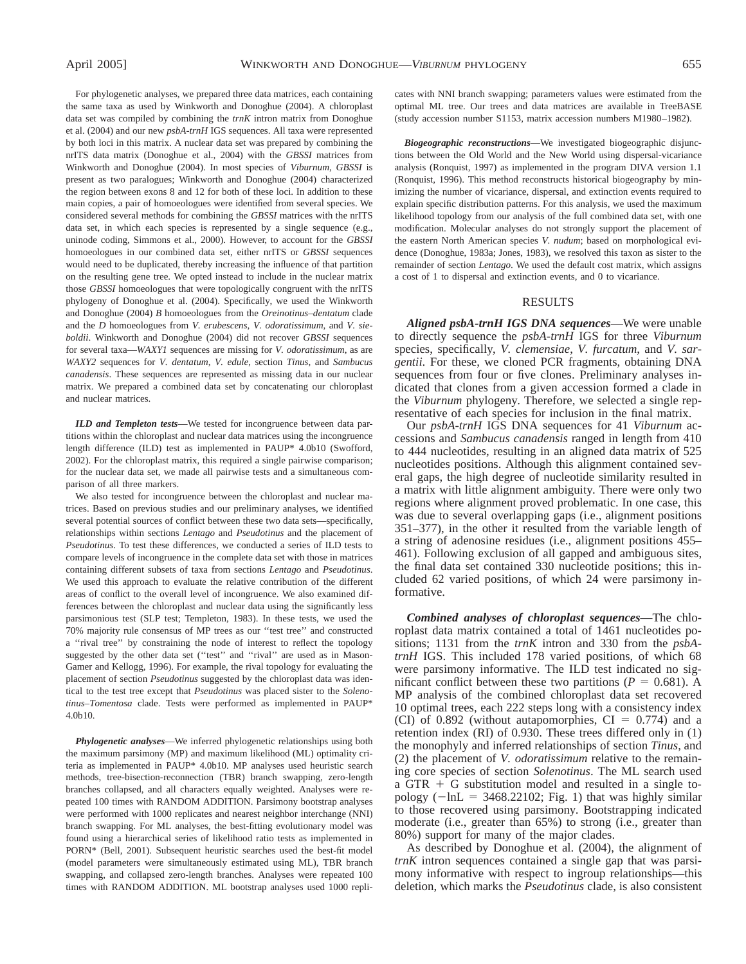For phylogenetic analyses, we prepared three data matrices, each containing the same taxa as used by Winkworth and Donoghue (2004). A chloroplast data set was compiled by combining the *trnK* intron matrix from Donoghue et al. (2004) and our new *psbA-trnH* IGS sequences. All taxa were represented by both loci in this matrix. A nuclear data set was prepared by combining the nrITS data matrix (Donoghue et al., 2004) with the *GBSSI* matrices from Winkworth and Donoghue (2004). In most species of *Viburnum*, *GBSSI* is present as two paralogues; Winkworth and Donoghue (2004) characterized the region between exons 8 and 12 for both of these loci. In addition to these main copies, a pair of homoeologues were identified from several species. We considered several methods for combining the *GBSSI* matrices with the nrITS data set, in which each species is represented by a single sequence (e.g., uninode coding, Simmons et al., 2000). However, to account for the *GBSSI* homoeologues in our combined data set, either nrITS or *GBSSI* sequences would need to be duplicated, thereby increasing the influence of that partition on the resulting gene tree. We opted instead to include in the nuclear matrix those *GBSSI* homoeologues that were topologically congruent with the nrITS phylogeny of Donoghue et al. (2004). Specifically, we used the Winkworth and Donoghue (2004) *B* homoeologues from the *Oreinotinus*–*dentatum* clade and the *D* homoeologues from *V. erubescens*, *V. odoratissimum*, and *V. sieboldii*. Winkworth and Donoghue (2004) did not recover *GBSSI* sequences for several taxa—*WAXY1* sequences are missing for *V. odoratissimum*, as are *WAXY2* sequences for *V. dentatum*, *V. edule*, section *Tinus*, and *Sambucus canadensis*. These sequences are represented as missing data in our nuclear matrix. We prepared a combined data set by concatenating our chloroplast and nuclear matrices.

*ILD and Templeton tests*—We tested for incongruence between data partitions within the chloroplast and nuclear data matrices using the incongruence length difference (ILD) test as implemented in PAUP\* 4.0b10 (Swofford, 2002). For the chloroplast matrix, this required a single pairwise comparison; for the nuclear data set, we made all pairwise tests and a simultaneous comparison of all three markers.

We also tested for incongruence between the chloroplast and nuclear matrices. Based on previous studies and our preliminary analyses, we identified several potential sources of conflict between these two data sets—specifically, relationships within sections *Lentago* and *Pseudotinus* and the placement of *Pseudotinus*. To test these differences, we conducted a series of ILD tests to compare levels of incongruence in the complete data set with those in matrices containing different subsets of taxa from sections *Lentago* and *Pseudotinus*. We used this approach to evaluate the relative contribution of the different areas of conflict to the overall level of incongruence. We also examined differences between the chloroplast and nuclear data using the significantly less parsimonious test (SLP test; Templeton, 1983). In these tests, we used the 70% majority rule consensus of MP trees as our ''test tree'' and constructed a ''rival tree'' by constraining the node of interest to reflect the topology suggested by the other data set ("test" and "rival" are used as in Mason-Gamer and Kellogg, 1996). For example, the rival topology for evaluating the placement of section *Pseudotinus* suggested by the chloroplast data was identical to the test tree except that *Pseudotinus* was placed sister to the *Solenotinus*–*Tomentosa* clade. Tests were performed as implemented in PAUP\* 4.0b10.

*Phylogenetic analyses*—We inferred phylogenetic relationships using both the maximum parsimony (MP) and maximum likelihood (ML) optimality criteria as implemented in PAUP\* 4.0b10. MP analyses used heuristic search methods, tree-bisection-reconnection (TBR) branch swapping, zero-length branches collapsed, and all characters equally weighted. Analyses were repeated 100 times with RANDOM ADDITION. Parsimony bootstrap analyses were performed with 1000 replicates and nearest neighbor interchange (NNI) branch swapping. For ML analyses, the best-fitting evolutionary model was found using a hierarchical series of likelihood ratio tests as implemented in PORN\* (Bell, 2001). Subsequent heuristic searches used the best-fit model (model parameters were simultaneously estimated using ML), TBR branch swapping, and collapsed zero-length branches. Analyses were repeated 100 times with RANDOM ADDITION. ML bootstrap analyses used 1000 repli-

cates with NNI branch swapping; parameters values were estimated from the optimal ML tree. Our trees and data matrices are available in TreeBASE (study accession number S1153, matrix accession numbers M1980–1982).

*Biogeographic reconstructions*—We investigated biogeographic disjunctions between the Old World and the New World using dispersal-vicariance analysis (Ronquist, 1997) as implemented in the program DIVA version 1.1 (Ronquist, 1996). This method reconstructs historical biogeography by minimizing the number of vicariance, dispersal, and extinction events required to explain specific distribution patterns. For this analysis, we used the maximum likelihood topology from our analysis of the full combined data set, with one modification. Molecular analyses do not strongly support the placement of the eastern North American species *V. nudum*; based on morphological evidence (Donoghue, 1983a; Jones, 1983), we resolved this taxon as sister to the remainder of section *Lentago*. We used the default cost matrix, which assigns a cost of 1 to dispersal and extinction events, and 0 to vicariance.

### RESULTS

*Aligned psbA-trnH IGS DNA sequences*—We were unable to directly sequence the *psbA-trnH* IGS for three *Viburnum* species, specifically, *V. clemensiae*, *V. furcatum*, and *V. sargentii*. For these, we cloned PCR fragments, obtaining DNA sequences from four or five clones. Preliminary analyses indicated that clones from a given accession formed a clade in the *Viburnum* phylogeny. Therefore, we selected a single representative of each species for inclusion in the final matrix.

Our *psbA-trnH* IGS DNA sequences for 41 *Viburnum* accessions and *Sambucus canadensis* ranged in length from 410 to 444 nucleotides, resulting in an aligned data matrix of 525 nucleotides positions. Although this alignment contained several gaps, the high degree of nucleotide similarity resulted in a matrix with little alignment ambiguity. There were only two regions where alignment proved problematic. In one case, this was due to several overlapping gaps (i.e., alignment positions 351–377), in the other it resulted from the variable length of a string of adenosine residues (i.e., alignment positions 455– 461). Following exclusion of all gapped and ambiguous sites, the final data set contained 330 nucleotide positions; this included 62 varied positions, of which 24 were parsimony informative.

*Combined analyses of chloroplast sequences*—The chloroplast data matrix contained a total of 1461 nucleotides positions; 1131 from the *trnK* intron and 330 from the *psbAtrnH* IGS. This included 178 varied positions, of which 68 were parsimony informative. The ILD test indicated no significant conflict between these two partitions ( $P = 0.681$ ). A MP analysis of the combined chloroplast data set recovered 10 optimal trees, each 222 steps long with a consistency index (CI) of 0.892 (without autapomorphies,  $CI = 0.774$ ) and a retention index (RI) of 0.930. These trees differed only in (1) the monophyly and inferred relationships of section *Tinus*, and (2) the placement of *V. odoratissimum* relative to the remaining core species of section *Solenotinus*. The ML search used a GTR  $+$  G substitution model and resulted in a single topology  $(-\ln L = 3468.22102$ ; Fig. 1) that was highly similar to those recovered using parsimony. Bootstrapping indicated moderate (i.e., greater than 65%) to strong (i.e., greater than 80%) support for many of the major clades.

As described by Donoghue et al. (2004), the alignment of *trnK* intron sequences contained a single gap that was parsimony informative with respect to ingroup relationships—this deletion, which marks the *Pseudotinus* clade, is also consistent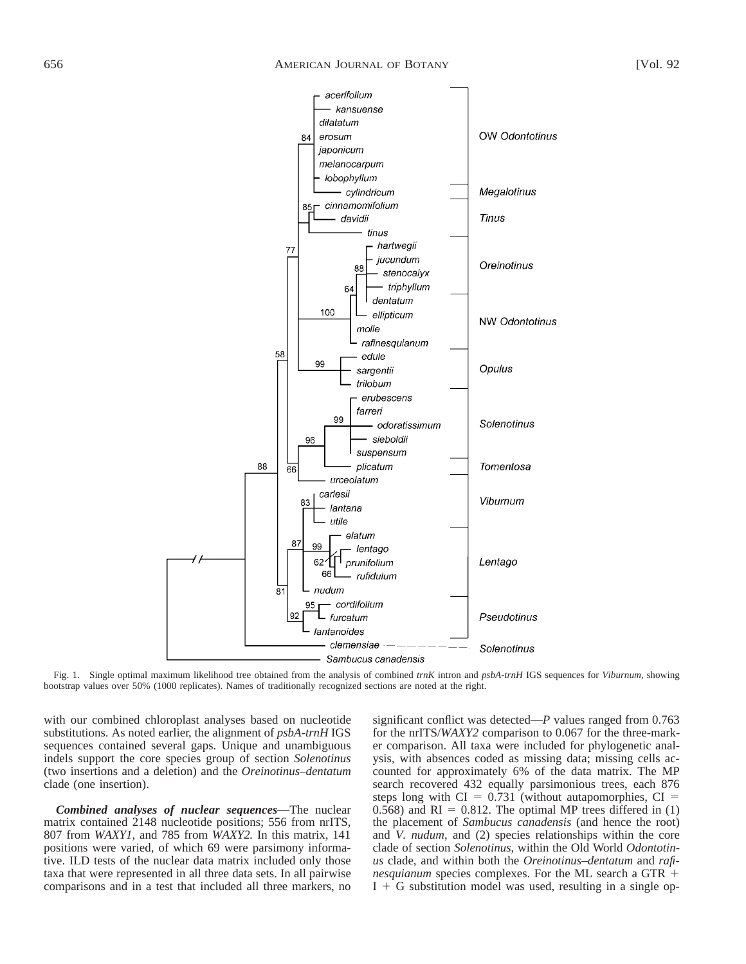

Fig. 1. Single optimal maximum likelihood tree obtained from the analysis of combined *trnK* intron and *psbA-trnH* IGS sequences for *Viburnum*, showing bootstrap values over 50% (1000 replicates). Names of traditionally recognized sections are noted at the right.

with our combined chloroplast analyses based on nucleotide substitutions. As noted earlier, the alignment of *psbA-trnH* IGS sequences contained several gaps. Unique and unambiguous indels support the core species group of section *Solenotinus* (two insertions and a deletion) and the *Oreinotinus*–*dentatum* clade (one insertion).

*Combined analyses of nuclear sequences*—The nuclear matrix contained 2148 nucleotide positions; 556 from nrITS, 807 from *WAXY1,* and 785 from *WAXY2.* In this matrix, 141 positions were varied, of which 69 were parsimony informative. ILD tests of the nuclear data matrix included only those taxa that were represented in all three data sets. In all pairwise comparisons and in a test that included all three markers, no

significant conflict was detected—*P* values ranged from 0.763 for the nrITS/*WAXY2* comparison to 0.067 for the three-marker comparison. All taxa were included for phylogenetic analysis, with absences coded as missing data; missing cells accounted for approximately 6% of the data matrix. The MP search recovered 432 equally parsimonious trees, each 876 steps long with  $CI = 0.731$  (without autapomorphies,  $CI =$ 0.568) and  $RI = 0.812$ . The optimal MP trees differed in (1) the placement of *Sambucus canadensis* (and hence the root) and *V. nudum*, and (2) species relationships within the core clade of section *Solenotinus*, within the Old World *Odontotinus* clade, and within both the *Oreinotinus*–*dentatum* and *rafinesquianum* species complexes. For the ML search a GTR  $+$  $I + G$  substitution model was used, resulting in a single op-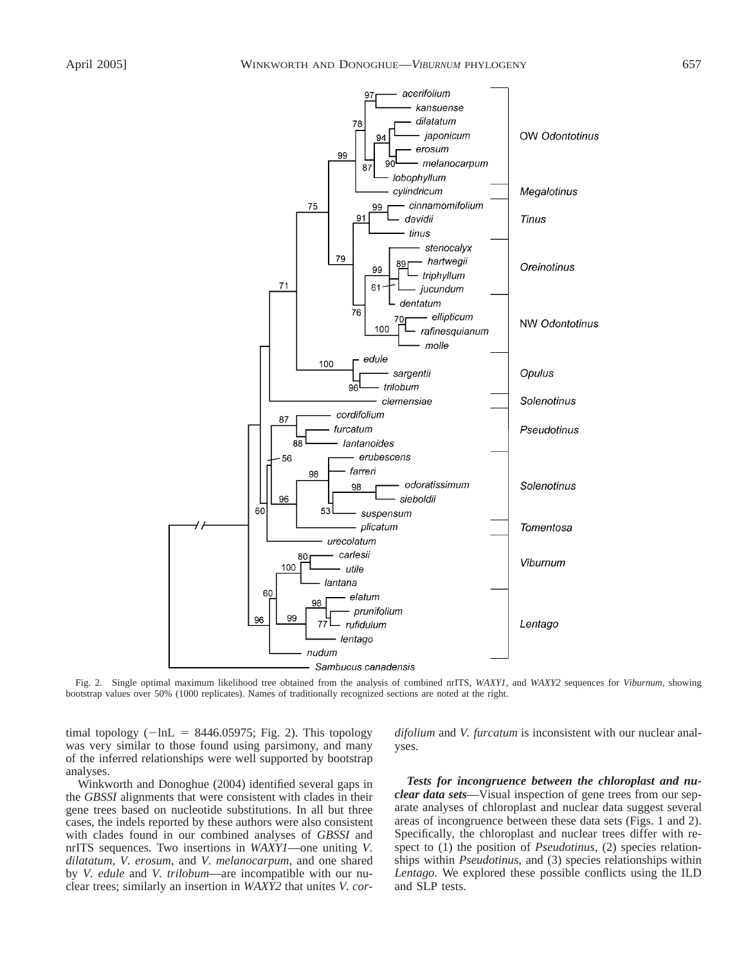

Fig. 2. Single optimal maximum likelihood tree obtained from the analysis of combined nrITS, *WAXY1,* and *WAXY2* sequences for *Viburnum*, showing bootstrap values over 50% (1000 replicates). Names of traditionally recognized sections are noted at the right.

timal topology  $(-\ln L = 8446.05975;$  Fig. 2). This topology was very similar to those found using parsimony, and many of the inferred relationships were well supported by bootstrap analyses.

Winkworth and Donoghue (2004) identified several gaps in the *GBSSI* alignments that were consistent with clades in their gene trees based on nucleotide substitutions. In all but three cases, the indels reported by these authors were also consistent with clades found in our combined analyses of *GBSSI* and nrITS sequences. Two insertions in *WAXY1*—one uniting *V. dilatatum*, *V. erosum*, and *V. melanocarpum*, and one shared by *V. edule* and *V. trilobum*—are incompatible with our nuclear trees; similarly an insertion in *WAXY2* that unites *V. cor-*

*difolium* and *V. furcatum* is inconsistent with our nuclear analyses.

*Tests for incongruence between the chloroplast and nuclear data sets*—Visual inspection of gene trees from our separate analyses of chloroplast and nuclear data suggest several areas of incongruence between these data sets (Figs. 1 and 2). Specifically, the chloroplast and nuclear trees differ with respect to (1) the position of *Pseudotinus*, (2) species relationships within *Pseudotinus*, and (3) species relationships within *Lentago*. We explored these possible conflicts using the ILD and SLP tests.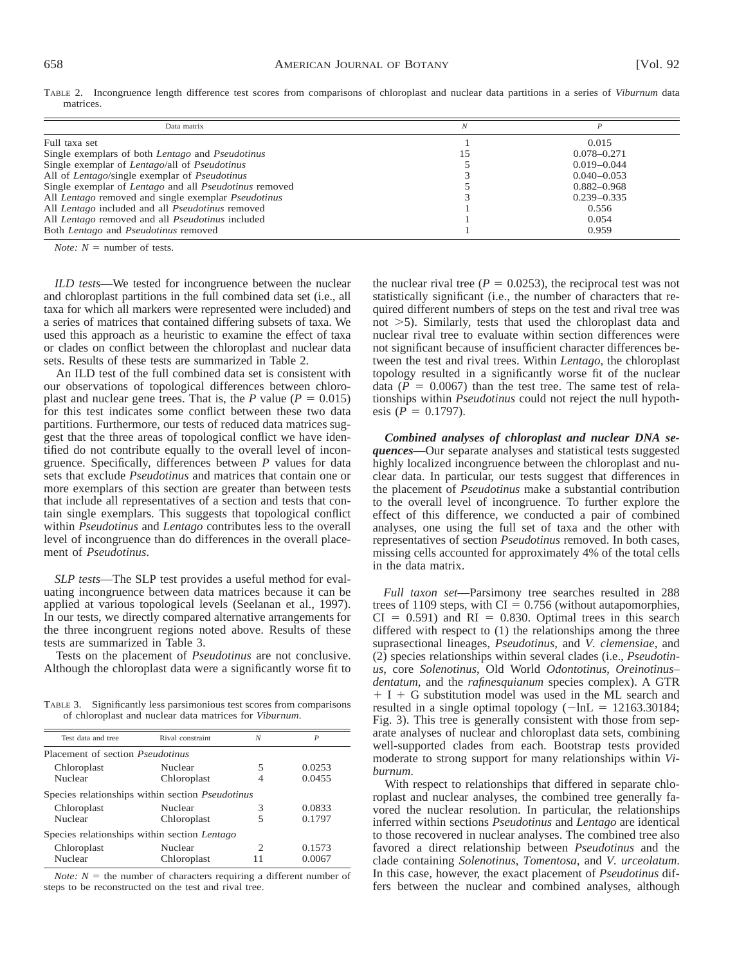| Data matrix                                                          |                 |
|----------------------------------------------------------------------|-----------------|
| Full taxa set                                                        | 0.015           |
| Single exemplars of both <i>Lentago</i> and <i>Pseudotinus</i>       | $0.078 - 0.271$ |
| Single exemplar of <i>Lentago</i> /all of <i>Pseudotinus</i>         | $0.019 - 0.044$ |
| All of <i>Lentago</i> /single exemplar of <i>Pseudotinus</i>         | $0.040 - 0.053$ |
| Single exemplar of <i>Lentago</i> and all <i>Pseudotinus</i> removed | $0.882 - 0.968$ |
| All <i>Lentago</i> removed and single exemplar <i>Pseudotinus</i>    | $0.239 - 0.335$ |
| All <i>Lentago</i> included and all <i>Pseudotinus</i> removed       | 0.556           |
| All <i>Lentago</i> removed and all <i>Pseudotinus</i> included       | 0.054           |
| Both Lentago and Pseudotinus removed                                 | 0.959           |

TABLE 2. Incongruence length difference test scores from comparisons of chloroplast and nuclear data partitions in a series of *Viburnum* data matrices.

*Note:*  $N =$  number of tests.

*ILD tests*—We tested for incongruence between the nuclear and chloroplast partitions in the full combined data set (i.e., all taxa for which all markers were represented were included) and a series of matrices that contained differing subsets of taxa. We used this approach as a heuristic to examine the effect of taxa or clades on conflict between the chloroplast and nuclear data sets. Results of these tests are summarized in Table 2.

An ILD test of the full combined data set is consistent with our observations of topological differences between chloroplast and nuclear gene trees. That is, the *P* value ( $P = 0.015$ ) for this test indicates some conflict between these two data partitions. Furthermore, our tests of reduced data matrices suggest that the three areas of topological conflict we have identified do not contribute equally to the overall level of incongruence. Specifically, differences between *P* values for data sets that exclude *Pseudotinus* and matrices that contain one or more exemplars of this section are greater than between tests that include all representatives of a section and tests that contain single exemplars. This suggests that topological conflict within *Pseudotinus* and *Lentago* contributes less to the overall level of incongruence than do differences in the overall placement of *Pseudotinus*.

*SLP tests*—The SLP test provides a useful method for evaluating incongruence between data matrices because it can be applied at various topological levels (Seelanan et al., 1997). In our tests, we directly compared alternative arrangements for the three incongruent regions noted above. Results of these tests are summarized in Table 3.

Tests on the placement of *Pseudotinus* are not conclusive. Although the chloroplast data were a significantly worse fit to

TABLE 3. Significantly less parsimonious test scores from comparisons of chloroplast and nuclear data matrices for *Viburnum*.

| Test data and tree                                  | Rival constraint | $\boldsymbol{N}$ | P      |
|-----------------------------------------------------|------------------|------------------|--------|
| Placement of section <i>Pseudotinus</i>             |                  |                  |        |
| Chloroplast                                         | Nuclear          | 5                | 0.0253 |
| Nuclear                                             | Chloroplast      |                  | 0.0455 |
| Species relationships within section Pseudotinus    |                  |                  |        |
| Chloroplast                                         | Nuclear          | 3                | 0.0833 |
| Nuclear                                             | Chloroplast      | 5                | 0.1797 |
| Species relationships within section <i>Lentago</i> |                  |                  |        |
| Chloroplast                                         | Nuclear          | 2                | 0.1573 |
| Nuclear                                             | Chloroplast      | 11               | 0.0067 |

*Note:*  $N =$  the number of characters requiring a different number of steps to be reconstructed on the test and rival tree.

the nuclear rival tree ( $P = 0.0253$ ), the reciprocal test was not statistically significant (i.e., the number of characters that required different numbers of steps on the test and rival tree was not  $>5$ ). Similarly, tests that used the chloroplast data and nuclear rival tree to evaluate within section differences were not significant because of insufficient character differences between the test and rival trees. Within *Lentago*, the chloroplast topology resulted in a significantly worse fit of the nuclear data ( $P = 0.0067$ ) than the test tree. The same test of relationships within *Pseudotinus* could not reject the null hypothesis  $(P = 0.1797)$ .

*Combined analyses of chloroplast and nuclear DNA sequences*—Our separate analyses and statistical tests suggested highly localized incongruence between the chloroplast and nuclear data. In particular, our tests suggest that differences in the placement of *Pseudotinus* make a substantial contribution to the overall level of incongruence. To further explore the effect of this difference, we conducted a pair of combined analyses, one using the full set of taxa and the other with representatives of section *Pseudotinus* removed. In both cases, missing cells accounted for approximately 4% of the total cells in the data matrix.

*Full taxon set*—Parsimony tree searches resulted in 288 trees of 1109 steps, with  $CI = 0.756$  (without autapomorphies,  $CI = 0.591$ ) and  $RI = 0.830$ . Optimal trees in this search differed with respect to (1) the relationships among the three suprasectional lineages, *Pseudotinus*, and *V. clemensiae*, and (2) species relationships within several clades (i.e., *Pseudotinus*, core *Solenotinus*, Old World *Odontotinus*, *Oreinotinus*– *dentatum*, and the *rafinesquianum* species complex). A GTR  $+$  I + G substitution model was used in the ML search and resulted in a single optimal topology  $(-\ln L) = 12163.30184;$ Fig. 3). This tree is generally consistent with those from separate analyses of nuclear and chloroplast data sets, combining well-supported clades from each. Bootstrap tests provided moderate to strong support for many relationships within *Viburnum*.

With respect to relationships that differed in separate chloroplast and nuclear analyses, the combined tree generally favored the nuclear resolution. In particular, the relationships inferred within sections *Pseudotinus* and *Lentago* are identical to those recovered in nuclear analyses. The combined tree also favored a direct relationship between *Pseudotinus* and the clade containing *Solenotinus*, *Tomentosa*, and *V. urceolatum*. In this case, however, the exact placement of *Pseudotinus* differs between the nuclear and combined analyses, although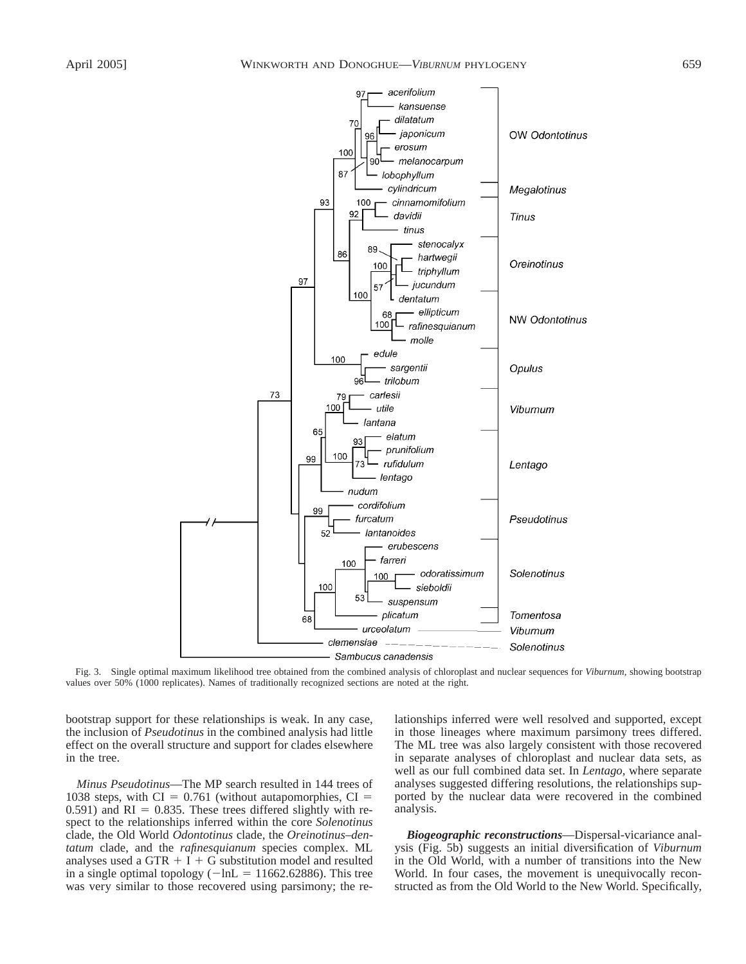

Fig. 3. Single optimal maximum likelihood tree obtained from the combined analysis of chloroplast and nuclear sequences for *Viburnum*, showing bootstrap values over 50% (1000 replicates). Names of traditionally recognized sections are noted at the right.

bootstrap support for these relationships is weak. In any case, the inclusion of *Pseudotinus* in the combined analysis had little effect on the overall structure and support for clades elsewhere in the tree.

*Minus Pseudotinus*—The MP search resulted in 144 trees of 1038 steps, with CI =  $0.761$  (without autapomorphies, CI =  $(0.591)$  and RI = 0.835. These trees differed slightly with respect to the relationships inferred within the core *Solenotinus* clade, the Old World *Odontotinus* clade, the *Oreinotinus*–*dentatum* clade, and the *rafinesquianum* species complex. ML analyses used a GTR  $+$  I  $+$  G substitution model and resulted in a single optimal topology ( $-\ln L = 11662.62886$ ). This tree was very similar to those recovered using parsimony; the relationships inferred were well resolved and supported, except in those lineages where maximum parsimony trees differed. The ML tree was also largely consistent with those recovered in separate analyses of chloroplast and nuclear data sets, as well as our full combined data set. In *Lentago*, where separate analyses suggested differing resolutions, the relationships supported by the nuclear data were recovered in the combined analysis.

*Biogeographic reconstructions*—Dispersal-vicariance analysis (Fig. 5b) suggests an initial diversification of *Viburnum* in the Old World, with a number of transitions into the New World. In four cases, the movement is unequivocally reconstructed as from the Old World to the New World. Specifically,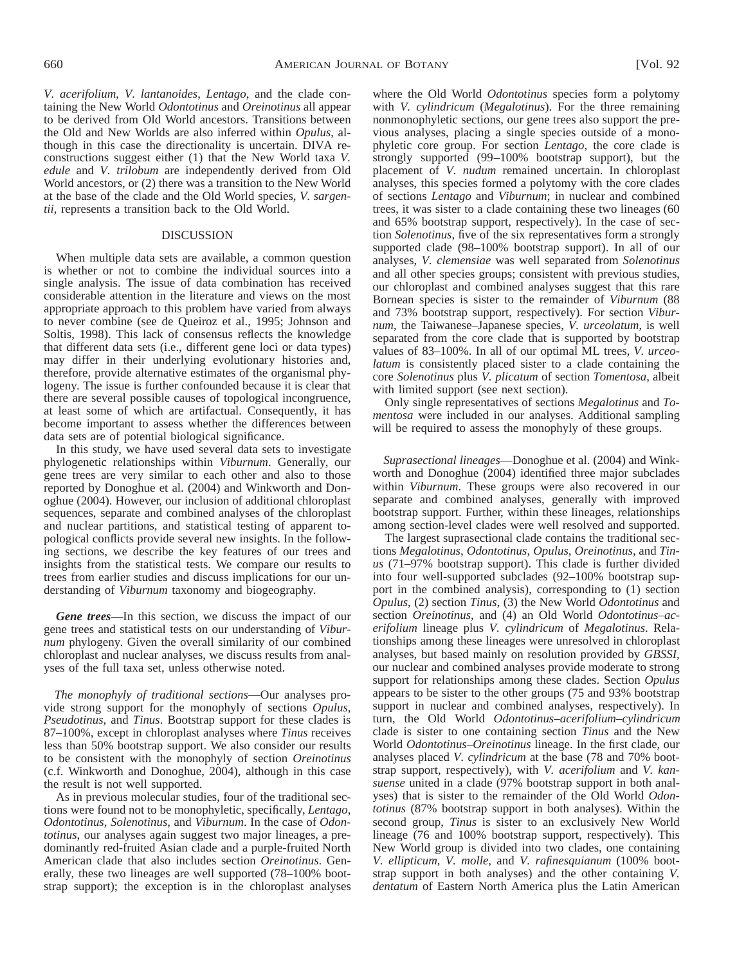*V. acerifolium*, *V. lantanoides*, *Lentago*, and the clade containing the New World *Odontotinus* and *Oreinotinus* all appear to be derived from Old World ancestors. Transitions between the Old and New Worlds are also inferred within *Opulus*, although in this case the directionality is uncertain. DIVA reconstructions suggest either (1) that the New World taxa *V. edule* and *V. trilobum* are independently derived from Old World ancestors, or (2) there was a transition to the New World at the base of the clade and the Old World species, *V. sargen-*

#### DISCUSSION

*tii*, represents a transition back to the Old World.

When multiple data sets are available, a common question is whether or not to combine the individual sources into a single analysis. The issue of data combination has received considerable attention in the literature and views on the most appropriate approach to this problem have varied from always to never combine (see de Queiroz et al., 1995; Johnson and Soltis, 1998). This lack of consensus reflects the knowledge that different data sets (i.e., different gene loci or data types) may differ in their underlying evolutionary histories and, therefore, provide alternative estimates of the organismal phylogeny. The issue is further confounded because it is clear that there are several possible causes of topological incongruence, at least some of which are artifactual. Consequently, it has become important to assess whether the differences between data sets are of potential biological significance.

In this study, we have used several data sets to investigate phylogenetic relationships within *Viburnum*. Generally, our gene trees are very similar to each other and also to those reported by Donoghue et al. (2004) and Winkworth and Donoghue (2004). However, our inclusion of additional chloroplast sequences, separate and combined analyses of the chloroplast and nuclear partitions, and statistical testing of apparent topological conflicts provide several new insights. In the following sections, we describe the key features of our trees and insights from the statistical tests. We compare our results to trees from earlier studies and discuss implications for our understanding of *Viburnum* taxonomy and biogeography.

*Gene trees*—In this section, we discuss the impact of our gene trees and statistical tests on our understanding of *Viburnum* phylogeny. Given the overall similarity of our combined chloroplast and nuclear analyses, we discuss results from analyses of the full taxa set, unless otherwise noted.

*The monophyly of traditional sections*—Our analyses provide strong support for the monophyly of sections *Opulus*, *Pseudotinus*, and *Tinus*. Bootstrap support for these clades is 87–100%, except in chloroplast analyses where *Tinus* receives less than 50% bootstrap support. We also consider our results to be consistent with the monophyly of section *Oreinotinus* (c.f. Winkworth and Donoghue, 2004), although in this case the result is not well supported.

As in previous molecular studies, four of the traditional sections were found not to be monophyletic, specifically, *Lentago*, *Odontotinus*, *Solenotinus*, and *Viburnum*. In the case of *Odontotinus*, our analyses again suggest two major lineages, a predominantly red-fruited Asian clade and a purple-fruited North American clade that also includes section *Oreinotinus*. Generally, these two lineages are well supported (78–100% bootstrap support); the exception is in the chloroplast analyses

where the Old World *Odontotinus* species form a polytomy with *V. cylindricum* (*Megalotinus*). For the three remaining nonmonophyletic sections, our gene trees also support the previous analyses, placing a single species outside of a monophyletic core group. For section *Lentago*, the core clade is strongly supported (99–100% bootstrap support), but the placement of *V. nudum* remained uncertain. In chloroplast analyses, this species formed a polytomy with the core clades of sections *Lentago* and *Viburnum*; in nuclear and combined trees, it was sister to a clade containing these two lineages (60 and 65% bootstrap support, respectively). In the case of section *Solenotinus*, five of the six representatives form a strongly supported clade (98–100% bootstrap support). In all of our analyses, *V. clemensiae* was well separated from *Solenotinus* and all other species groups; consistent with previous studies, our chloroplast and combined analyses suggest that this rare Bornean species is sister to the remainder of *Viburnum* (88 and 73% bootstrap support, respectively). For section *Viburnum*, the Taiwanese–Japanese species, *V. urceolatum*, is well separated from the core clade that is supported by bootstrap values of 83–100%. In all of our optimal ML trees, *V. urceolatum* is consistently placed sister to a clade containing the core *Solenotinus* plus *V. plicatum* of section *Tomentosa*, albeit with limited support (see next section).

Only single representatives of sections *Megalotinus* and *Tomentosa* were included in our analyses. Additional sampling will be required to assess the monophyly of these groups.

*Suprasectional lineages*—Donoghue et al. (2004) and Winkworth and Donoghue (2004) identified three major subclades within *Viburnum*. These groups were also recovered in our separate and combined analyses, generally with improved bootstrap support. Further, within these lineages, relationships among section-level clades were well resolved and supported.

The largest suprasectional clade contains the traditional sections *Megalotinus*, *Odontotinus*, *Opulus*, *Oreinotinus*, and *Tinus* (71–97% bootstrap support). This clade is further divided into four well-supported subclades (92–100% bootstrap support in the combined analysis), corresponding to (1) section *Opulus*, (2) section *Tinus*, (3) the New World *Odontotinus* and section *Oreinotinus*, and (4) an Old World *Odontotinus*–*acerifolium* lineage plus *V. cylindricum* of *Megalotinus*. Relationships among these lineages were unresolved in chloroplast analyses, but based mainly on resolution provided by *GBSSI*, our nuclear and combined analyses provide moderate to strong support for relationships among these clades. Section *Opulus* appears to be sister to the other groups (75 and 93% bootstrap support in nuclear and combined analyses, respectively). In turn, the Old World *Odontotinus*–*acerifolium*–*cylindricum* clade is sister to one containing section *Tinus* and the New World *Odontotinus*–*Oreinotinus* lineage. In the first clade, our analyses placed *V. cylindricum* at the base (78 and 70% bootstrap support, respectively), with *V. acerifolium* and *V. kansuense* united in a clade (97% bootstrap support in both analyses) that is sister to the remainder of the Old World *Odontotinus* (87% bootstrap support in both analyses). Within the second group, *Tinus* is sister to an exclusively New World lineage (76 and 100% bootstrap support, respectively). This New World group is divided into two clades, one containing *V. ellipticum*, *V. molle*, and *V. rafinesquianum* (100% bootstrap support in both analyses) and the other containing *V. dentatum* of Eastern North America plus the Latin American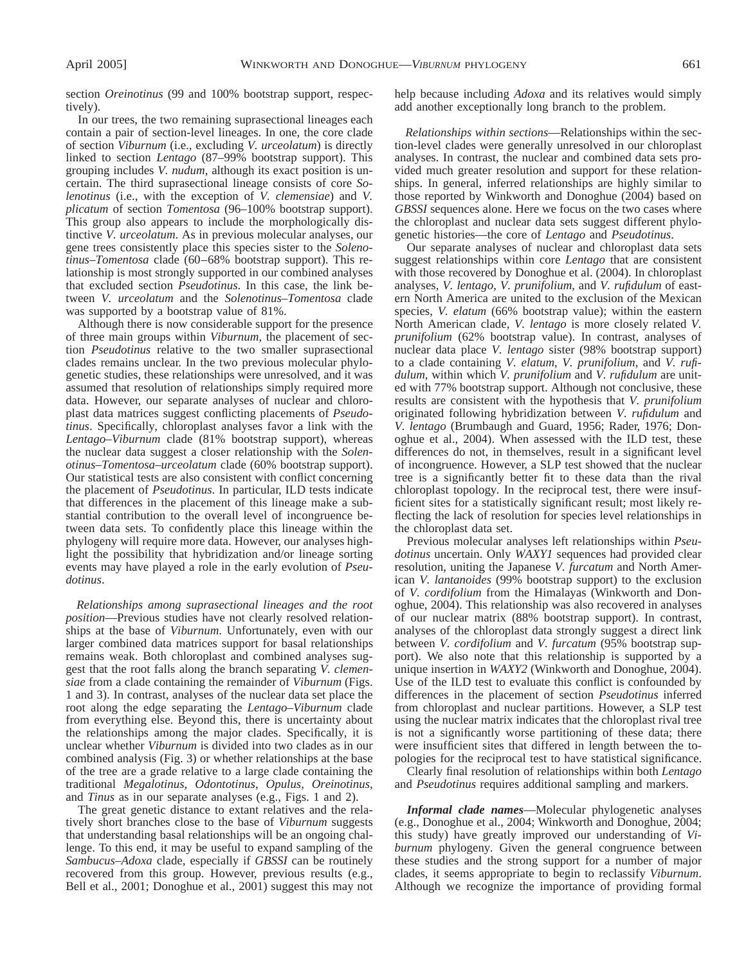section *Oreinotinus* (99 and 100% bootstrap support, respectively).

In our trees, the two remaining suprasectional lineages each contain a pair of section-level lineages. In one, the core clade of section *Viburnum* (i.e., excluding *V. urceolatum*) is directly linked to section *Lentago* (87–99% bootstrap support). This grouping includes *V. nudum*, although its exact position is uncertain. The third suprasectional lineage consists of core *Solenotinus* (i.e., with the exception of *V. clemensiae*) and *V. plicatum* of section *Tomentosa* (96–100% bootstrap support). This group also appears to include the morphologically distinctive *V. urceolatum*. As in previous molecular analyses, our gene trees consistently place this species sister to the *Solenotinus*–*Tomentosa* clade (60–68% bootstrap support). This relationship is most strongly supported in our combined analyses that excluded section *Pseudotinus*. In this case, the link between *V. urceolatum* and the *Solenotinus*–*Tomentosa* clade was supported by a bootstrap value of 81%.

Although there is now considerable support for the presence of three main groups within *Viburnum*, the placement of section *Pseudotinus* relative to the two smaller suprasectional clades remains unclear. In the two previous molecular phylogenetic studies, these relationships were unresolved, and it was assumed that resolution of relationships simply required more data. However, our separate analyses of nuclear and chloroplast data matrices suggest conflicting placements of *Pseudotinus*. Specifically, chloroplast analyses favor a link with the *Lentago*–*Viburnum* clade (81% bootstrap support), whereas the nuclear data suggest a closer relationship with the *Solenotinus*–*Tomentosa*–*urceolatum* clade (60% bootstrap support). Our statistical tests are also consistent with conflict concerning the placement of *Pseudotinus*. In particular, ILD tests indicate that differences in the placement of this lineage make a substantial contribution to the overall level of incongruence between data sets. To confidently place this lineage within the phylogeny will require more data. However, our analyses highlight the possibility that hybridization and/or lineage sorting events may have played a role in the early evolution of *Pseudotinus*.

*Relationships among suprasectional lineages and the root position*—Previous studies have not clearly resolved relationships at the base of *Viburnum*. Unfortunately, even with our larger combined data matrices support for basal relationships remains weak. Both chloroplast and combined analyses suggest that the root falls along the branch separating *V. clemensiae* from a clade containing the remainder of *Viburnum* (Figs. 1 and 3). In contrast, analyses of the nuclear data set place the root along the edge separating the *Lentago*–*Viburnum* clade from everything else. Beyond this, there is uncertainty about the relationships among the major clades. Specifically, it is unclear whether *Viburnum* is divided into two clades as in our combined analysis (Fig. 3) or whether relationships at the base of the tree are a grade relative to a large clade containing the traditional *Megalotinus*, *Odontotinus*, *Opulus*, *Oreinotinus*, and *Tinus* as in our separate analyses (e.g., Figs. 1 and 2).

The great genetic distance to extant relatives and the relatively short branches close to the base of *Viburnum* suggests that understanding basal relationships will be an ongoing challenge. To this end, it may be useful to expand sampling of the *Sambucus*–*Adoxa* clade, especially if *GBSSI* can be routinely recovered from this group. However, previous results (e.g., Bell et al., 2001; Donoghue et al., 2001) suggest this may not help because including *Adoxa* and its relatives would simply add another exceptionally long branch to the problem.

*Relationships within sections*—Relationships within the section-level clades were generally unresolved in our chloroplast analyses. In contrast, the nuclear and combined data sets provided much greater resolution and support for these relationships. In general, inferred relationships are highly similar to those reported by Winkworth and Donoghue (2004) based on *GBSSI* sequences alone. Here we focus on the two cases where the chloroplast and nuclear data sets suggest different phylogenetic histories—the core of *Lentago* and *Pseudotinus*.

Our separate analyses of nuclear and chloroplast data sets suggest relationships within core *Lentago* that are consistent with those recovered by Donoghue et al. (2004). In chloroplast analyses, *V. lentago*, *V. prunifolium*, and *V. rufidulum* of eastern North America are united to the exclusion of the Mexican species, *V. elatum* (66% bootstrap value); within the eastern North American clade, *V. lentago* is more closely related *V. prunifolium* (62% bootstrap value). In contrast, analyses of nuclear data place *V. lentago* sister (98% bootstrap support) to a clade containing *V. elatum*, *V. prunifolium*, and *V. rufidulum*, within which *V. prunifolium* and *V. rufidulum* are united with 77% bootstrap support. Although not conclusive, these results are consistent with the hypothesis that *V. prunifolium* originated following hybridization between *V. rufidulum* and *V. lentago* (Brumbaugh and Guard, 1956; Rader, 1976; Donoghue et al., 2004). When assessed with the ILD test, these differences do not, in themselves, result in a significant level of incongruence. However, a SLP test showed that the nuclear tree is a significantly better fit to these data than the rival chloroplast topology. In the reciprocal test, there were insufficient sites for a statistically significant result; most likely reflecting the lack of resolution for species level relationships in the chloroplast data set.

Previous molecular analyses left relationships within *Pseudotinus* uncertain. Only *WAXY1* sequences had provided clear resolution, uniting the Japanese *V. furcatum* and North American *V. lantanoides* (99% bootstrap support) to the exclusion of *V. cordifolium* from the Himalayas (Winkworth and Donoghue, 2004). This relationship was also recovered in analyses of our nuclear matrix (88% bootstrap support). In contrast, analyses of the chloroplast data strongly suggest a direct link between *V. cordifolium* and *V. furcatum* (95% bootstrap support). We also note that this relationship is supported by a unique insertion in *WAXY2* (Winkworth and Donoghue, 2004). Use of the ILD test to evaluate this conflict is confounded by differences in the placement of section *Pseudotinus* inferred from chloroplast and nuclear partitions. However, a SLP test using the nuclear matrix indicates that the chloroplast rival tree is not a significantly worse partitioning of these data; there were insufficient sites that differed in length between the topologies for the reciprocal test to have statistical significance.

Clearly final resolution of relationships within both *Lentago* and *Pseudotinus* requires additional sampling and markers.

*Informal clade names*—Molecular phylogenetic analyses (e.g., Donoghue et al., 2004; Winkworth and Donoghue, 2004; this study) have greatly improved our understanding of *Viburnum* phylogeny. Given the general congruence between these studies and the strong support for a number of major clades, it seems appropriate to begin to reclassify *Viburnum*. Although we recognize the importance of providing formal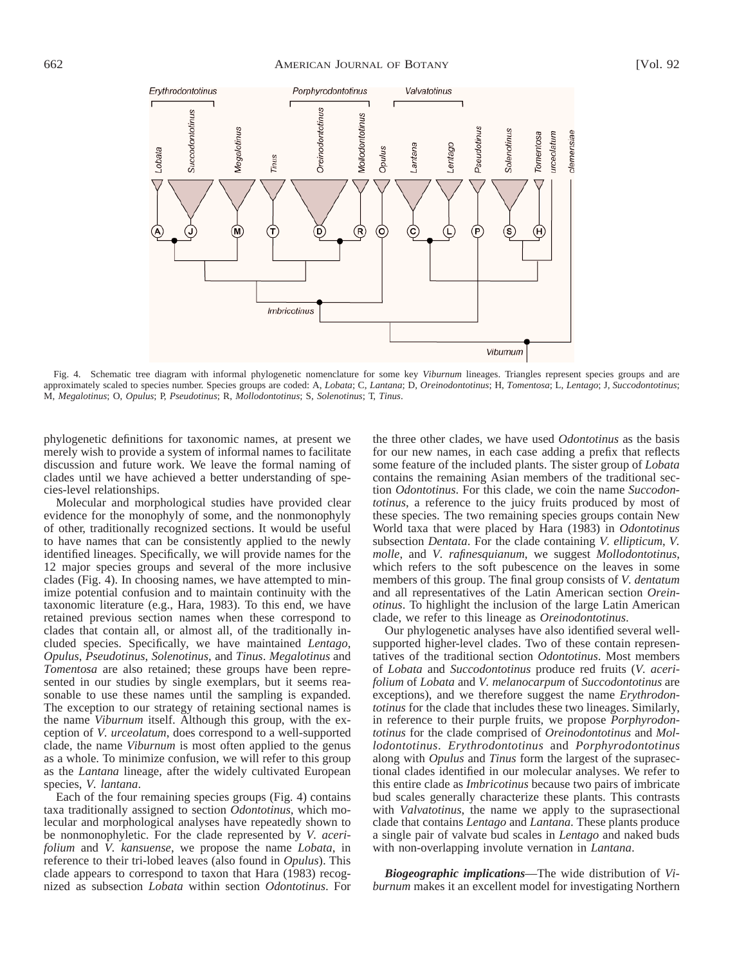

Fig. 4. Schematic tree diagram with informal phylogenetic nomenclature for some key *Viburnum* lineages. Triangles represent species groups and are approximately scaled to species number. Species groups are coded: A, *Lobata*; C, *Lantana*; D, *Oreinodontotinus*; H, *Tomentosa*; L, *Lentago*; J, *Succodontotinus*; M, *Megalotinus*; O, *Opulus*; P, *Pseudotinus*; R, *Mollodontotinus*; S, *Solenotinus*; T, *Tinus*.

phylogenetic definitions for taxonomic names, at present we merely wish to provide a system of informal names to facilitate discussion and future work. We leave the formal naming of clades until we have achieved a better understanding of species-level relationships.

Molecular and morphological studies have provided clear evidence for the monophyly of some, and the nonmonophyly of other, traditionally recognized sections. It would be useful to have names that can be consistently applied to the newly identified lineages. Specifically, we will provide names for the 12 major species groups and several of the more inclusive clades (Fig. 4). In choosing names, we have attempted to minimize potential confusion and to maintain continuity with the taxonomic literature (e.g., Hara, 1983). To this end, we have retained previous section names when these correspond to clades that contain all, or almost all, of the traditionally included species. Specifically, we have maintained *Lentago*, *Opulus*, *Pseudotinus*, *Solenotinus*, and *Tinus*. *Megalotinus* and *Tomentosa* are also retained; these groups have been represented in our studies by single exemplars, but it seems reasonable to use these names until the sampling is expanded. The exception to our strategy of retaining sectional names is the name *Viburnum* itself. Although this group, with the exception of *V. urceolatum*, does correspond to a well-supported clade, the name *Viburnum* is most often applied to the genus as a whole. To minimize confusion, we will refer to this group as the *Lantana* lineage, after the widely cultivated European species, *V. lantana*.

Each of the four remaining species groups (Fig. 4) contains taxa traditionally assigned to section *Odontotinus*, which molecular and morphological analyses have repeatedly shown to be nonmonophyletic. For the clade represented by *V. acerifolium* and *V. kansuense*, we propose the name *Lobata*, in reference to their tri-lobed leaves (also found in *Opulus*). This clade appears to correspond to taxon that Hara (1983) recognized as subsection *Lobata* within section *Odontotinus*. For

the three other clades, we have used *Odontotinus* as the basis for our new names, in each case adding a prefix that reflects some feature of the included plants. The sister group of *Lobata* contains the remaining Asian members of the traditional section *Odontotinus*. For this clade, we coin the name *Succodontotinus*, a reference to the juicy fruits produced by most of these species. The two remaining species groups contain New World taxa that were placed by Hara (1983) in *Odontotinus* subsection *Dentata*. For the clade containing *V. ellipticum*, *V. molle*, and *V. rafinesquianum*, we suggest *Mollodontotinus*, which refers to the soft pubescence on the leaves in some members of this group. The final group consists of *V. dentatum* and all representatives of the Latin American section *Oreinotinus*. To highlight the inclusion of the large Latin American clade, we refer to this lineage as *Oreinodontotinus*.

Our phylogenetic analyses have also identified several wellsupported higher-level clades. Two of these contain representatives of the traditional section *Odontotinus*. Most members of *Lobata* and *Succodontotinus* produce red fruits (*V. acerifolium* of *Lobata* and *V. melanocarpum* of *Succodontotinus* are exceptions), and we therefore suggest the name *Erythrodontotinus* for the clade that includes these two lineages. Similarly, in reference to their purple fruits, we propose *Porphyrodontotinus* for the clade comprised of *Oreinodontotinus* and *Mollodontotinus*. *Erythrodontotinus* and *Porphyrodontotinus* along with *Opulus* and *Tinus* form the largest of the suprasectional clades identified in our molecular analyses. We refer to this entire clade as *Imbricotinus* because two pairs of imbricate bud scales generally characterize these plants. This contrasts with *Valvatotinus*, the name we apply to the suprasectional clade that contains *Lentago* and *Lantana*. These plants produce a single pair of valvate bud scales in *Lentago* and naked buds with non-overlapping involute vernation in *Lantana*.

*Biogeographic implications*—The wide distribution of *Viburnum* makes it an excellent model for investigating Northern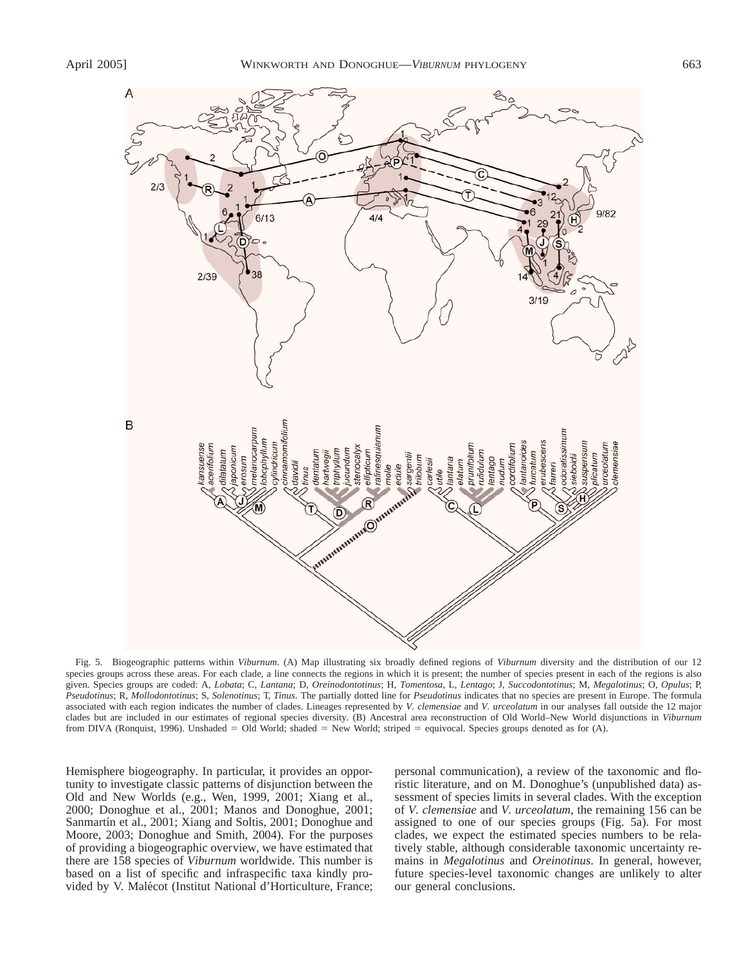

Fig. 5. Biogeographic patterns within *Viburnum*. (A) Map illustrating six broadly defined regions of *Viburnum* diversity and the distribution of our 12 species groups across these areas. For each clade, a line connects the regions in which it is present; the number of species present in each of the regions is also given. Species groups are coded: A, *Lobata*; C, *Lantana*; D, *Oreinodontotinus*; H, *Tomentosa*, L, *Lentago*; J, *Succodontotinus*; M, *Megalotinus*; O, *Opulus*; P, *Pseudotinus*; R, *Mollodontotinus*; S, *Solenotinus*; T, *Tinus*. The partially dotted line for *Pseudotinus* indicates that no species are present in Europe. The formula associated with each region indicates the number of clades. Lineages represented by *V. clemensiae* and *V. urceolatum* in our analyses fall outside the 12 major clades but are included in our estimates of regional species diversity. (B) Ancestral area reconstruction of Old World–New World disjunctions in *Viburnum* from DIVA (Ronquist, 1996). Unshaded = Old World; shaded = New World; striped = equivocal. Species groups denoted as for (A).

Hemisphere biogeography. In particular, it provides an opportunity to investigate classic patterns of disjunction between the Old and New Worlds (e.g., Wen, 1999, 2001; Xiang et al., 2000; Donoghue et al., 2001; Manos and Donoghue, 2001; Sanmartín et al., 2001; Xiang and Soltis, 2001; Donoghue and Moore, 2003; Donoghue and Smith, 2004). For the purposes of providing a biogeographic overview, we have estimated that there are 158 species of *Viburnum* worldwide. This number is based on a list of specific and infraspecific taxa kindly provided by V. Malécot (Institut National d'Horticulture, France;

personal communication), a review of the taxonomic and floristic literature, and on M. Donoghue's (unpublished data) assessment of species limits in several clades. With the exception of *V. clemensiae* and *V. urceolatum*, the remaining 156 can be assigned to one of our species groups (Fig. 5a). For most clades, we expect the estimated species numbers to be relatively stable, although considerable taxonomic uncertainty remains in *Megalotinus* and *Oreinotinus*. In general, however, future species-level taxonomic changes are unlikely to alter our general conclusions.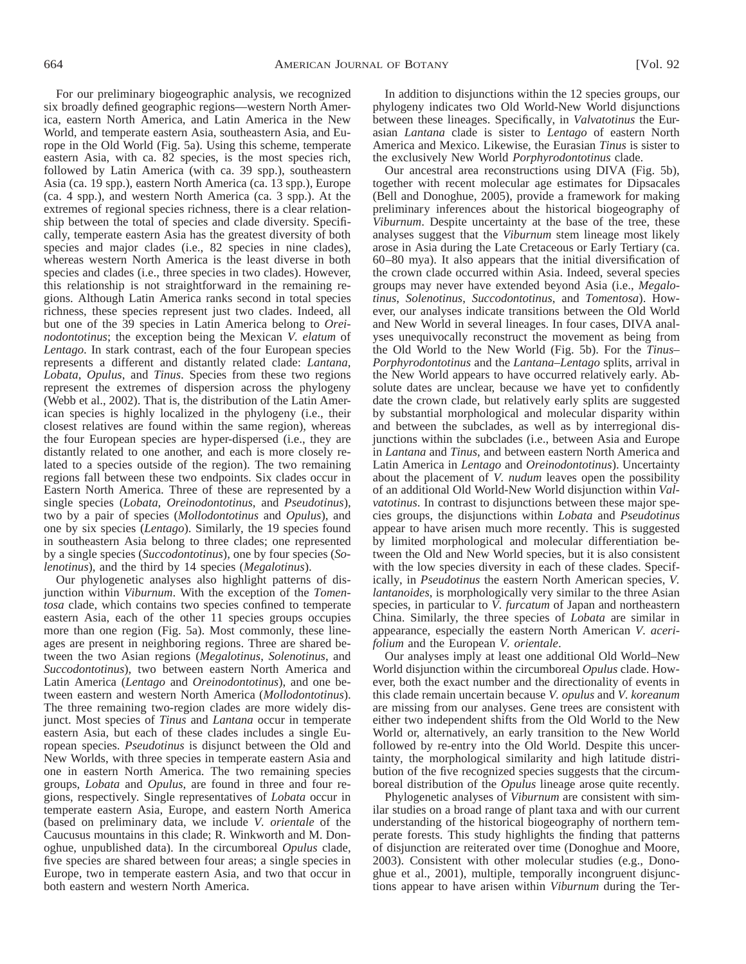For our preliminary biogeographic analysis, we recognized six broadly defined geographic regions—western North America, eastern North America, and Latin America in the New World, and temperate eastern Asia, southeastern Asia, and Europe in the Old World (Fig. 5a). Using this scheme, temperate eastern Asia, with ca. 82 species, is the most species rich, followed by Latin America (with ca. 39 spp.), southeastern Asia (ca. 19 spp.), eastern North America (ca. 13 spp.), Europe (ca. 4 spp.), and western North America (ca. 3 spp.). At the extremes of regional species richness, there is a clear relationship between the total of species and clade diversity. Specifically, temperate eastern Asia has the greatest diversity of both species and major clades (i.e., 82 species in nine clades), whereas western North America is the least diverse in both species and clades (i.e., three species in two clades). However, this relationship is not straightforward in the remaining regions. Although Latin America ranks second in total species richness, these species represent just two clades. Indeed, all but one of the 39 species in Latin America belong to *Oreinodontotinus*; the exception being the Mexican *V. elatum* of *Lentago*. In stark contrast, each of the four European species represents a different and distantly related clade: *Lantana*, *Lobata*, *Opulus*, and *Tinus*. Species from these two regions represent the extremes of dispersion across the phylogeny (Webb et al., 2002). That is, the distribution of the Latin American species is highly localized in the phylogeny (i.e., their closest relatives are found within the same region), whereas the four European species are hyper-dispersed (i.e., they are distantly related to one another, and each is more closely related to a species outside of the region). The two remaining regions fall between these two endpoints. Six clades occur in Eastern North America. Three of these are represented by a single species (*Lobata*, *Oreinodontotinus*, and *Pseudotinus*), two by a pair of species (*Mollodontotinus* and *Opulus*), and one by six species (*Lentago*). Similarly, the 19 species found in southeastern Asia belong to three clades; one represented by a single species (*Succodontotinus*), one by four species (*Solenotinus*), and the third by 14 species (*Megalotinus*).

Our phylogenetic analyses also highlight patterns of disjunction within *Viburnum*. With the exception of the *Tomentosa* clade, which contains two species confined to temperate eastern Asia, each of the other 11 species groups occupies more than one region (Fig. 5a). Most commonly, these lineages are present in neighboring regions. Three are shared between the two Asian regions (*Megalotinus*, *Solenotinus*, and *Succodontotinus*), two between eastern North America and Latin America (*Lentago* and *Oreinodontotinus*), and one between eastern and western North America (*Mollodontotinus*). The three remaining two-region clades are more widely disjunct. Most species of *Tinus* and *Lantana* occur in temperate eastern Asia, but each of these clades includes a single European species. *Pseudotinus* is disjunct between the Old and New Worlds, with three species in temperate eastern Asia and one in eastern North America. The two remaining species groups, *Lobata* and *Opulus*, are found in three and four regions, respectively. Single representatives of *Lobata* occur in temperate eastern Asia, Europe, and eastern North America (based on preliminary data, we include *V. orientale* of the Caucusus mountains in this clade; R. Winkworth and M. Donoghue, unpublished data). In the circumboreal *Opulus* clade, five species are shared between four areas; a single species in Europe, two in temperate eastern Asia, and two that occur in both eastern and western North America.

In addition to disjunctions within the 12 species groups, our phylogeny indicates two Old World-New World disjunctions between these lineages. Specifically, in *Valvatotinus* the Eurasian *Lantana* clade is sister to *Lentago* of eastern North America and Mexico. Likewise, the Eurasian *Tinus* is sister to the exclusively New World *Porphyrodontotinus* clade.

Our ancestral area reconstructions using DIVA (Fig. 5b), together with recent molecular age estimates for Dipsacales (Bell and Donoghue, 2005), provide a framework for making preliminary inferences about the historical biogeography of *Viburnum*. Despite uncertainty at the base of the tree, these analyses suggest that the *Viburnum* stem lineage most likely arose in Asia during the Late Cretaceous or Early Tertiary (ca. 60–80 mya). It also appears that the initial diversification of the crown clade occurred within Asia. Indeed, several species groups may never have extended beyond Asia (i.e., *Megalotinus*, *Solenotinus*, *Succodontotinus*, and *Tomentosa*). However, our analyses indicate transitions between the Old World and New World in several lineages. In four cases, DIVA analyses unequivocally reconstruct the movement as being from the Old World to the New World (Fig. 5b). For the *Tinus*– *Porphyrodontotinus* and the *Lantana*–*Lentago* splits, arrival in the New World appears to have occurred relatively early. Absolute dates are unclear, because we have yet to confidently date the crown clade, but relatively early splits are suggested by substantial morphological and molecular disparity within and between the subclades, as well as by interregional disjunctions within the subclades (i.e., between Asia and Europe in *Lantana* and *Tinus*, and between eastern North America and Latin America in *Lentago* and *Oreinodontotinus*). Uncertainty about the placement of *V. nudum* leaves open the possibility of an additional Old World-New World disjunction within *Valvatotinus*. In contrast to disjunctions between these major species groups, the disjunctions within *Lobata* and *Pseudotinus* appear to have arisen much more recently. This is suggested by limited morphological and molecular differentiation between the Old and New World species, but it is also consistent with the low species diversity in each of these clades. Specifically, in *Pseudotinus* the eastern North American species, *V. lantanoides*, is morphologically very similar to the three Asian species, in particular to *V. furcatum* of Japan and northeastern China. Similarly, the three species of *Lobata* are similar in appearance, especially the eastern North American *V. acerifolium* and the European *V. orientale*.

Our analyses imply at least one additional Old World–New World disjunction within the circumboreal *Opulus* clade. However, both the exact number and the directionality of events in this clade remain uncertain because *V. opulus* and *V. koreanum* are missing from our analyses. Gene trees are consistent with either two independent shifts from the Old World to the New World or, alternatively, an early transition to the New World followed by re-entry into the Old World. Despite this uncertainty, the morphological similarity and high latitude distribution of the five recognized species suggests that the circumboreal distribution of the *Opulus* lineage arose quite recently.

Phylogenetic analyses of *Viburnum* are consistent with similar studies on a broad range of plant taxa and with our current understanding of the historical biogeography of northern temperate forests. This study highlights the finding that patterns of disjunction are reiterated over time (Donoghue and Moore, 2003). Consistent with other molecular studies (e.g., Donoghue et al., 2001), multiple, temporally incongruent disjunctions appear to have arisen within *Viburnum* during the Ter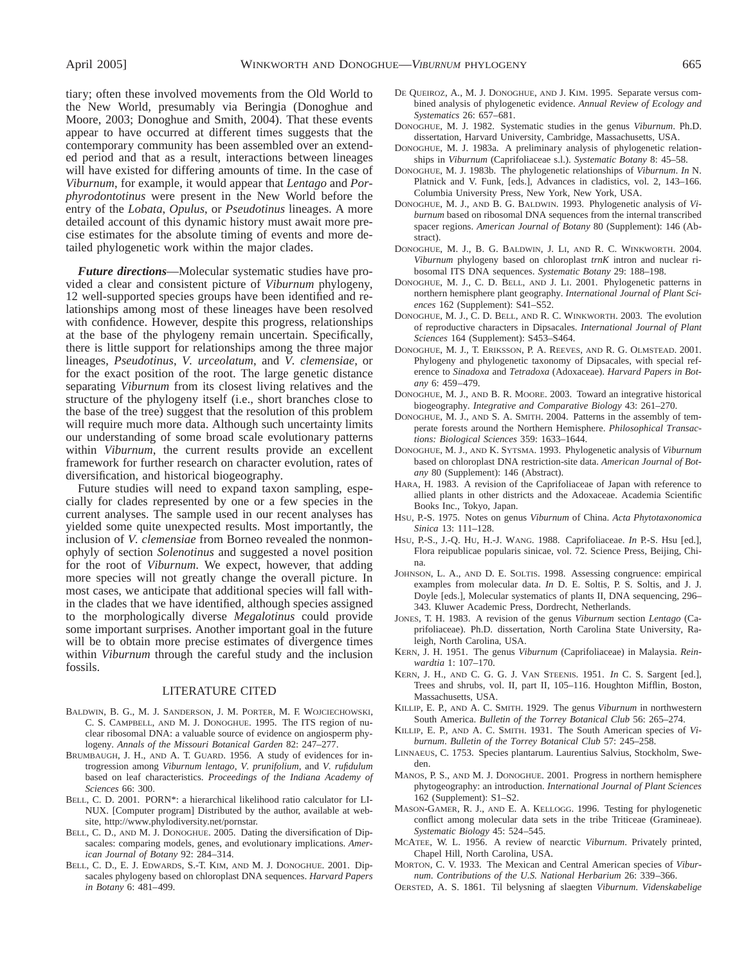tiary; often these involved movements from the Old World to the New World, presumably via Beringia (Donoghue and Moore, 2003; Donoghue and Smith, 2004). That these events appear to have occurred at different times suggests that the contemporary community has been assembled over an extended period and that as a result, interactions between lineages will have existed for differing amounts of time. In the case of *Viburnum*, for example, it would appear that *Lentago* and *Porphyrodontotinus* were present in the New World before the entry of the *Lobata*, *Opulus*, or *Pseudotinus* lineages. A more detailed account of this dynamic history must await more precise estimates for the absolute timing of events and more detailed phylogenetic work within the major clades.

*Future directions*—Molecular systematic studies have provided a clear and consistent picture of *Viburnum* phylogeny, 12 well-supported species groups have been identified and relationships among most of these lineages have been resolved with confidence. However, despite this progress, relationships at the base of the phylogeny remain uncertain. Specifically, there is little support for relationships among the three major lineages, *Pseudotinus*, *V. urceolatum*, and *V. clemensiae*, or for the exact position of the root. The large genetic distance separating *Viburnum* from its closest living relatives and the structure of the phylogeny itself (i.e., short branches close to the base of the tree) suggest that the resolution of this problem will require much more data. Although such uncertainty limits our understanding of some broad scale evolutionary patterns within *Viburnum*, the current results provide an excellent framework for further research on character evolution, rates of diversification, and historical biogeography.

Future studies will need to expand taxon sampling, especially for clades represented by one or a few species in the current analyses. The sample used in our recent analyses has yielded some quite unexpected results. Most importantly, the inclusion of *V. clemensiae* from Borneo revealed the nonmonophyly of section *Solenotinus* and suggested a novel position for the root of *Viburnum*. We expect, however, that adding more species will not greatly change the overall picture. In most cases, we anticipate that additional species will fall within the clades that we have identified, although species assigned to the morphologically diverse *Megalotinus* could provide some important surprises. Another important goal in the future will be to obtain more precise estimates of divergence times within *Viburnum* through the careful study and the inclusion fossils.

#### LITERATURE CITED

- BALDWIN, B. G., M. J. SANDERSON, J. M. PORTER, M. F. WOJCIECHOWSKI, C. S. CAMPBELL, AND M. J. DONOGHUE. 1995. The ITS region of nuclear ribosomal DNA: a valuable source of evidence on angiosperm phylogeny. *Annals of the Missouri Botanical Garden* 82: 247–277.
- BRUMBAUGH, J. H., AND A. T. GUARD. 1956. A study of evidences for introgression among *Viburnum lentago*, *V. prunifolium*, and *V. rufidulum* based on leaf characteristics. *Proceedings of the Indiana Academy of Sciences* 66: 300.
- BELL, C. D. 2001. PORN\*: a hierarchical likelihood ratio calculator for LI-NUX. [Computer program] Distributed by the author, available at website, http://www.phylodiversity.net/pornstar.
- BELL, C. D., AND M. J. DONOGHUE. 2005. Dating the diversification of Dipsacales: comparing models, genes, and evolutionary implications. *American Journal of Botany* 92: 284–314.
- BELL, C. D., E. J. EDWARDS, S.-T. KIM, AND M. J. DONOGHUE. 2001. Dipsacales phylogeny based on chloroplast DNA sequences. *Harvard Papers in Botany* 6: 481–499.
- DE QUEIROZ, A., M. J. DONOGHUE, AND J. KIM. 1995. Separate versus combined analysis of phylogenetic evidence. *Annual Review of Ecology and Systematics* 26: 657–681.
- DONOGHUE, M. J. 1982. Systematic studies in the genus *Viburnum*. Ph.D. dissertation, Harvard University, Cambridge, Massachusetts, USA.
- DONOGHUE, M. J. 1983a. A preliminary analysis of phylogenetic relationships in *Viburnum* (Caprifoliaceae s.l.). *Systematic Botany* 8: 45–58.
- DONOGHUE, M. J. 1983b. The phylogenetic relationships of *Viburnum*. *In* N. Platnick and V. Funk, [eds.], Advances in cladistics, vol. 2, 143–166. Columbia University Press, New York, New York, USA.
- DONOGHUE, M. J., AND B. G. BALDWIN. 1993. Phylogenetic analysis of *Viburnum* based on ribosomal DNA sequences from the internal transcribed spacer regions. *American Journal of Botany* 80 (Supplement): 146 (Abstract).
- DONOGHUE, M. J., B. G. BALDWIN, J. LI, AND R. C. WINKWORTH. 2004. *Viburnum* phylogeny based on chloroplast *trnK* intron and nuclear ribosomal ITS DNA sequences. *Systematic Botany* 29: 188–198.
- DONOGHUE, M. J., C. D. BELL, AND J. LI. 2001. Phylogenetic patterns in northern hemisphere plant geography. *International Journal of Plant Sciences* 162 (Supplement): S41–S52.
- DONOGHUE, M. J., C. D. BELL, AND R. C. WINKWORTH. 2003. The evolution of reproductive characters in Dipsacales. *International Journal of Plant Sciences* 164 (Supplement): S453–S464.
- DONOGHUE, M. J., T. ERIKSSON, P. A. REEVES, AND R. G. OLMSTEAD. 2001. Phylogeny and phylogenetic taxonomy of Dipsacales, with special reference to *Sinadoxa* and *Tetradoxa* (Adoxaceae). *Harvard Papers in Botany* 6: 459–479.
- DONOGHUE, M. J., AND B. R. MOORE. 2003. Toward an integrative historical biogeography. *Integrative and Comparative Biology* 43: 261–270.
- DONOGHUE, M. J., AND S. A. SMITH. 2004. Patterns in the assembly of temperate forests around the Northern Hemisphere. *Philosophical Transactions: Biological Sciences* 359: 1633–1644.
- DONOGHUE, M. J., AND K. SYTSMA. 1993. Phylogenetic analysis of *Viburnum* based on chloroplast DNA restriction-site data. *American Journal of Botany* 80 (Supplement): 146 (Abstract).
- HARA, H. 1983. A revision of the Caprifoliaceae of Japan with reference to allied plants in other districts and the Adoxaceae. Academia Scientific Books Inc., Tokyo, Japan.
- HSU, P.-S. 1975. Notes on genus *Viburnum* of China. *Acta Phytotaxonomica Sinica* 13: 111–128.
- HSU, P.-S., J.-Q. HU, H.-J. WANG. 1988. Caprifoliaceae. *In* P.-S. Hsu [ed.], Flora reipublicae popularis sinicae, vol. 72. Science Press, Beijing, China.
- JOHNSON, L. A., AND D. E. SOLTIS. 1998. Assessing congruence: empirical examples from molecular data. *In* D. E. Soltis, P. S. Soltis, and J. J. Doyle [eds.], Molecular systematics of plants II, DNA sequencing, 296– 343. Kluwer Academic Press, Dordrecht, Netherlands.
- JONES, T. H. 1983. A revision of the genus *Viburnum* section *Lentago* (Caprifoliaceae). Ph.D. dissertation, North Carolina State University, Raleigh, North Carolina, USA.
- KERN, J. H. 1951. The genus *Viburnum* (Caprifoliaceae) in Malaysia. *Reinwardtia* 1: 107–170.
- KERN, J. H., AND C. G. G. J. VAN STEENIS. 1951. *In* C. S. Sargent [ed.], Trees and shrubs, vol. II, part II, 105–116. Houghton Mifflin, Boston, Massachusetts, USA.
- KILLIP, E. P., AND A. C. SMITH. 1929. The genus *Viburnum* in northwestern South America. *Bulletin of the Torrey Botanical Club* 56: 265–274.
- KILLIP, E. P., AND A. C. SMITH. 1931. The South American species of *Viburnum*. *Bulletin of the Torrey Botanical Club* 57: 245–258.
- LINNAEUS, C. 1753. Species plantarum. Laurentius Salvius, Stockholm, Sweden.
- MANOS, P. S., AND M. J. DONOGHUE. 2001. Progress in northern hemisphere phytogeography: an introduction. *International Journal of Plant Sciences* 162 (Supplement): S1–S2.
- MASON-GAMER, R. J., AND E. A. KELLOGG. 1996. Testing for phylogenetic conflict among molecular data sets in the tribe Triticeae (Gramineae). *Systematic Biology* 45: 524–545.
- MCATEE, W. L. 1956. A review of nearctic *Viburnum*. Privately printed, Chapel Hill, North Carolina, USA.
- MORTON, C. V. 1933. The Mexican and Central American species of *Viburnum*. *Contributions of the U.S. National Herbarium* 26: 339–366.
- OERSTED, A. S. 1861. Til belysning af slaegten *Viburnum*. *Videnskabelige*